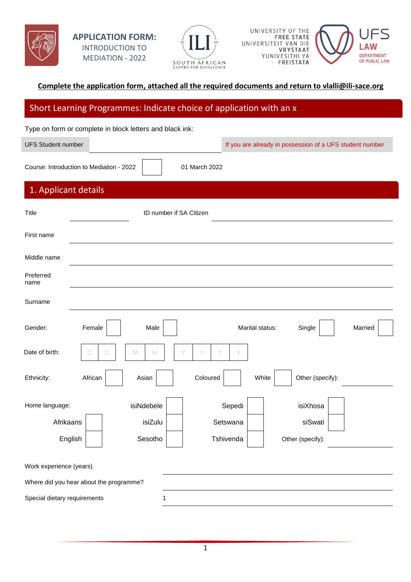







#### **Complete the application form, attached all the required documents and return to vlalli@ili-sace.org**

### Short Learning Programmes: Indicate choice of application with an x

Type on form or complete in block letters and black ink:

UFS Student number **If you are already in possession of a UFS** student number

Course: Introduction to Mediation - 2022 | 01 March 2022

## 1. Applicant details

| Title                                   |         | ID number if SA Citizen |           |                 |                  |         |
|-----------------------------------------|---------|-------------------------|-----------|-----------------|------------------|---------|
| First name                              |         |                         |           |                 |                  |         |
| Middle name                             |         |                         |           |                 |                  |         |
| Preferred<br>name                       |         |                         |           |                 |                  |         |
| Surname                                 |         |                         |           |                 |                  |         |
| Gender:                                 | Female  | Male                    |           | Marital status: | Single           | Married |
| Date of birth:                          | D<br>D  | M<br>$\mathbb N$        |           |                 |                  |         |
| Ethnicity:                              | African | Asian                   | Coloured  | White           | Other (specify): |         |
| Home language:                          |         | isiNdebele              | Sepedi    |                 | isiXhosa         |         |
| Afrikaans                               |         | isiZulu                 | Setswana  |                 | siSwati          |         |
| English                                 |         | Sesotho                 | Tshivenda |                 | Other (specify): |         |
| Work experience (years)                 |         |                         |           |                 |                  |         |
| Where did you hear about the programme? |         |                         |           |                 |                  |         |
| Special dietary requirements            |         | 1                       |           |                 |                  |         |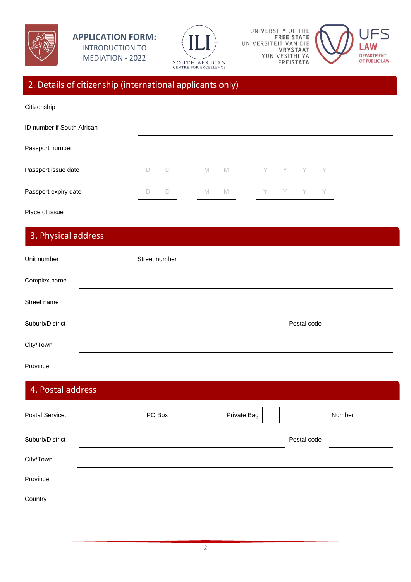



UNIVERSITY OF THE FREE STATE UNIVERSITEIT VAN DIE YUNIVESITHI YA FREISTATA



## 2. Details of citizenship (international applicants only)

| Citizenship                |                  |             |             |   |   |             |   |        |  |
|----------------------------|------------------|-------------|-------------|---|---|-------------|---|--------|--|
| ID number if South African |                  |             |             |   |   |             |   |        |  |
| Passport number            |                  |             |             |   |   |             |   |        |  |
| Passport issue date        | $\Box$<br>$\Box$ | $\mathbb M$ | $\mathbb M$ | Y | Y | Y           | Y |        |  |
| Passport expiry date       | D<br>D           | $\mathbb M$ | $\mathbb M$ | Y | Y | Y           | Y |        |  |
| Place of issue             |                  |             |             |   |   |             |   |        |  |
| 3. Physical address        |                  |             |             |   |   |             |   |        |  |
| Unit number                | Street number    |             |             |   |   |             |   |        |  |
| Complex name               |                  |             |             |   |   |             |   |        |  |
| Street name                |                  |             |             |   |   |             |   |        |  |
| Suburb/District            |                  |             |             |   |   | Postal code |   |        |  |
|                            |                  |             |             |   |   |             |   |        |  |
| City/Town                  |                  |             |             |   |   |             |   |        |  |
| Province                   |                  |             |             |   |   |             |   |        |  |
| 4. Postal address          |                  |             |             |   |   |             |   |        |  |
| Postal Service:            | PO Box           |             | Private Bag |   |   |             |   | Number |  |
| Suburb/District            |                  |             |             |   |   | Postal code |   |        |  |
| City/Town                  |                  |             |             |   |   |             |   |        |  |
| Province                   |                  |             |             |   |   |             |   |        |  |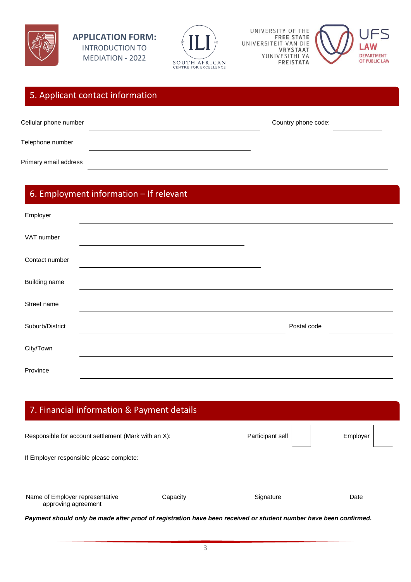

**APPLICATION FORM:**  INTRODUCTION TO MEDIATION - 2022



UNIVERSITY OF THE FREE STATE UNIVERSITEIT VAN DIE YUNIVESITHI YA FREISTATA



| 5. Applicant contact information |                     |
|----------------------------------|---------------------|
| Cellular phone number            | Country phone code: |
| Telephone number                 |                     |
| Primary email address            |                     |

# 6. Employment information – If relevant

| Employer             |             |  |
|----------------------|-------------|--|
| VAT number           |             |  |
| Contact number       |             |  |
| <b>Building name</b> |             |  |
| Street name          |             |  |
| Suburb/District      | Postal code |  |
| City/Town            |             |  |
| Province             |             |  |

| 7. Financial information & Payment details             |          |                  |          |
|--------------------------------------------------------|----------|------------------|----------|
| Responsible for account settlement (Mark with an X):   |          | Participant self | Employer |
| If Employer responsible please complete:               |          |                  |          |
|                                                        |          |                  |          |
| Name of Employer representative<br>approving agreement | Capacity | Signature        | Date     |

*Payment should only be made after proof of registration have been received or student number have been confirmed.*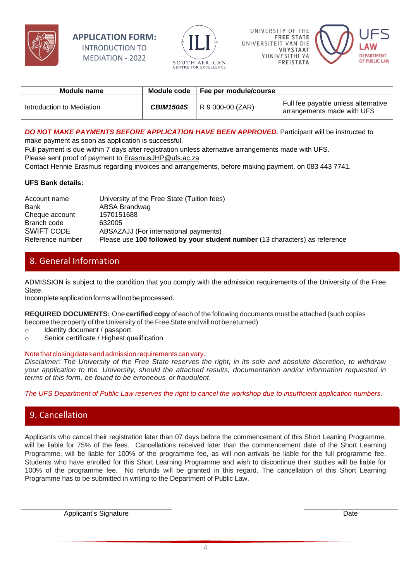

#### **APPLICATION FORM:**  INTRODUCTION TO MEDIATION - 2022







| Module name               | Module code      | Fee per module/course |                                                                   |
|---------------------------|------------------|-----------------------|-------------------------------------------------------------------|
| Introduction to Mediation | <b>CBIM1504S</b> | R 9 000-00 (ZAR)      | Full fee payable unless alternative<br>arrangements made with UFS |

#### *DO NOT MAKE PAYMENTS BEFORE APPLICATION HAVE BEEN APPROVED.* Participant will be instructed to

make payment as soon as application is successful.

Full payment is due within 7 days after registration unless alternative arrangements made with UFS. Please sent proof of payment to **ErasmusJHP@ufs.ac.za** 

Contact Hennie Erasmus regarding invoices and arrangements, before making payment, on 083 443 7741.

#### **UFS Bank details:**

| Account name      | University of the Free State (Tuition fees)                                 |
|-------------------|-----------------------------------------------------------------------------|
| Bank              | ABSA Brandwag                                                               |
| Cheque account    | 1570151688                                                                  |
| Branch code       | 632005                                                                      |
| <b>SWIFT CODE</b> | ABSAZAJJ (For international payments)                                       |
| Reference number  | Please use 100 followed by your student number (13 characters) as reference |

## 8. General Information

ADMISSION is subject to the condition that you comply with the admission requirements of the University of the Free State.

Incomplete application forms will not be processed.

**REQUIRED DOCUMENTS:** One **certified copy** of each of the following documents must be attached (such copies become the property of the University of the Free State and will not be returned)

- o Identity document / passport
- o Senior certificate / Highest qualification

#### Note that closing dates and admission requirements can vary.

*Disclaimer: The University of the Free State reserves the right, in its sole and absolute discretion, to withdraw your application to the University, should the attached results, documentation and/or information requested in terms of this form, be found to be erroneous or fraudulent*.

*The UFS Department of Public Law reserves the right to cancel the workshop due to insufficient application numbers.*

## 9. Cancellation

Applicants who cancel their registration later than 07 days before the commencement of this Short Leaning Programme, will be liable for 75% of the fees. Cancellations received later than the commencement date of the Short Learning Programme, will be liable for 100% of the programme fee, as will non-arrivals be liable for the full programme fee. Students who have enrolled for this Short Learning Programme and wish to discontinue their studies will be liable for 100% of the programme fee. No refunds will be granted in this regard. The cancellation of this Short Learning Programme has to be submitted in writing to the Department of Public Law.

Applicant's Signature **Date**